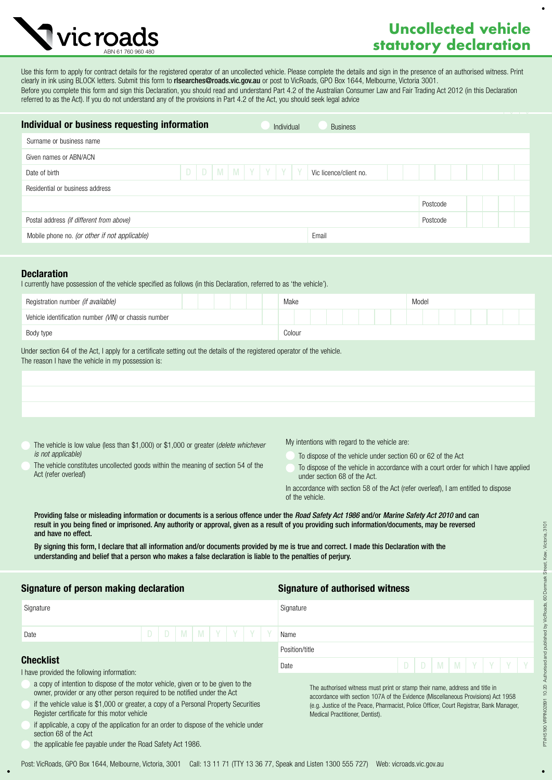# **Uncollected vehicle A** vic roads **statutory declaration**

Use this form to apply for contract details for the registered operator of an uncollected vehicle. Please complete the details and sign in the presence of an authorised witness. Print clearly in ink using BLOCK letters. Submit this form to risearches@roads.vic.gov.au or post to VicRoads, GPO Box 1644, Melbourne, Victoria 3001. Before you complete this form and sign this Declaration, you should read and understand Part 4.2 of the Australian Consumer Law and Fair Trading Act 2012 (in this Declaration referred to as the Act). If you do not understand any of the provisions in Part 4.2 of the Act, you should seek legal advice

| Individual or business requesting information<br>Individual |  |  |  |  |  |  |                             | <b>Business</b> |                        |          |  |  |  |
|-------------------------------------------------------------|--|--|--|--|--|--|-----------------------------|-----------------|------------------------|----------|--|--|--|
| Surname or business name                                    |  |  |  |  |  |  |                             |                 |                        |          |  |  |  |
| Given names or ABN/ACN                                      |  |  |  |  |  |  |                             |                 |                        |          |  |  |  |
| Date of birth                                               |  |  |  |  |  |  | $D$ $D$ $M$ $M$ $Y$ $Y$ $Y$ |                 | Vic licence/client no. |          |  |  |  |
| Residential or business address                             |  |  |  |  |  |  |                             |                 |                        |          |  |  |  |
|                                                             |  |  |  |  |  |  |                             |                 |                        | Postcode |  |  |  |
| Postal address (if different from above)                    |  |  |  |  |  |  |                             |                 |                        | Postcode |  |  |  |
| Mobile phone no. (or other if not applicable)               |  |  |  |  |  |  |                             |                 | Email                  |          |  |  |  |
|                                                             |  |  |  |  |  |  |                             |                 |                        |          |  |  |  |

# **Declaration**

I currently have possession of the vehicle specified as follows (in this Declaration, referred to as 'the vehicle').

| Registration number (if available)                    | Model<br>Make |
|-------------------------------------------------------|---------------|
| Vehicle identification number (VIN) or chassis number |               |
| Body type                                             | Colour        |
|                                                       |               |

Under section 64 of the Act, I apply for a certificate setting out the details of the registered operator of the vehicle. The reason I have the vehicle in my possession is:

The vehicle is low value (less than \$1,000) or \$1,000 or greater (*delete whichever is not applicable)*

My intentions with regard to the vehicle are:

Medical Practitioner, Dentist).

To dispose of the vehicle under section 60 or 62 of the Act

- The vehicle constitutes uncollected goods within the meaning of section 54 of the Act (refer overleaf)
- under section 68 of the Act. In accordance with section 58 of the Act (refer overleaf), I am entitled to dispose of the vehicle.

The authorised witness must print or stamp their name, address and title in accordance with section 107A of the Evidence (Miscellaneous Provisions) Act 1958 (e.g. Justice of the Peace, Pharmacist, Police Officer, Court Registrar, Bank Manager,

To dispose of the vehicle in accordance with a court order for which I have applied

Providing false or misleading information or documents is a serious offence under the *Road Safety Act 1986* and/or *Marine Safety Act 2010* and can result in you being fined or imprisoned. Any authority or approval, given as a result of you providing such information/documents, may be reversed and have no effect.

By signing this form, I declare that all information and/or documents provided by me is true and correct. I made this Declaration with the understanding and belief that a person who makes a false declaration is liable to the penalties of perjury.

## Signature of person making declaration Signature of authorised witness

| Signature                                                      |  |  |                                 |  |  |  | Signature                             |                |  |  |  |  |  |  |  |  |
|----------------------------------------------------------------|--|--|---------------------------------|--|--|--|---------------------------------------|----------------|--|--|--|--|--|--|--|--|
| Date                                                           |  |  | $D   D   M   M   Y   Y   Y   Y$ |  |  |  |                                       | Name           |  |  |  |  |  |  |  |  |
|                                                                |  |  |                                 |  |  |  |                                       | Position/title |  |  |  |  |  |  |  |  |
| <b>Checklist</b><br>I have provided the following information: |  |  |                                 |  |  |  | D   D   M   M   Y   Y   Y   Y<br>Date |                |  |  |  |  |  |  |  |  |

- a copy of intention to dispose of the motor vehicle, given or to be given to the owner, provider or any other person required to be notified under the Act
- if the vehicle value is \$1,000 or greater, a copy of a Personal Property Securities Register certificate for this motor vehicle
- if applicable, a copy of the application for an order to dispose of the vehicle under section 68 of the Act
- the applicable fee payable under the Road Safety Act 1986.